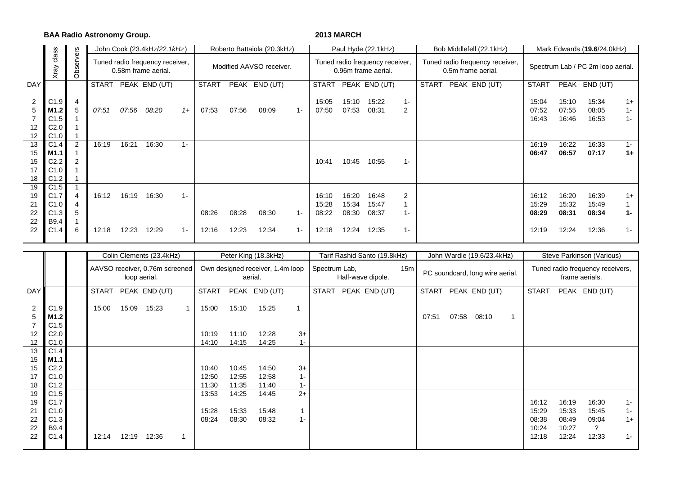**BAA Radio Astronomy Group. 2013 MARCH**

|                                 |                                                  |        |              |       | John Cook (23.4kHz/22.1kHz)                            |       |              |       | Roberto Battaiola (20.3kHz) |       |                |                | Paul Hyde (22.1kHz)                                    |            | Bob Middlefell (22.1kHz)                              |                         | Mark Edwards (19.6/24.0kHz)       |                         |                        |  |  |
|---------------------------------|--------------------------------------------------|--------|--------------|-------|--------------------------------------------------------|-------|--------------|-------|-----------------------------|-------|----------------|----------------|--------------------------------------------------------|------------|-------------------------------------------------------|-------------------------|-----------------------------------|-------------------------|------------------------|--|--|
|                                 | servers<br>class<br>Xray<br>රි                   |        |              |       | Tuned radio frequency receiver,<br>0.58m frame aerial. |       |              |       | Modified AAVSO receiver.    |       |                |                | Tuned radio frequency receiver,<br>0.96m frame aerial. |            | Tuned radio frequency receiver,<br>0.5m frame aerial. |                         | Spectrum Lab / PC 2m loop aerial. |                         |                        |  |  |
| DAY                             |                                                  |        | <b>START</b> |       | PEAK END (UT)                                          |       | <b>START</b> |       | PEAK END (UT)               |       | <b>START</b>   |                | PEAK END (UT)                                          |            | <b>START</b><br>PEAK END (UT)                         | <b>START</b>            | <b>PEAK</b>                       | END (UT)                |                        |  |  |
| $\overline{2}$<br>5<br>12<br>12 | C1.9<br>M1.2<br>C1.5<br>C <sub>2.0</sub><br>C1.0 | 4<br>5 | 07:51        | 07:56 | 08:20                                                  | $1+$  | 07:53        | 07:56 | 08:09                       | $1 -$ | 15:05<br>07:50 | 15:10<br>07:53 | 15:22<br>08:31                                         | $1 -$<br>2 |                                                       | 15:04<br>07:52<br>16:43 | 15:10<br>07:55<br>16:46           | 15:34<br>08:05<br>16:53 | $1+$<br>$1 -$<br>$1 -$ |  |  |
| 13                              | C1.4                                             | 2      | 16:19        | 16:21 | 16:30                                                  | $1 -$ |              |       |                             |       |                |                |                                                        |            |                                                       | 16:19                   | 16:22                             | 16:33                   | $1 -$                  |  |  |
| 15                              | M1.1                                             |        |              |       |                                                        |       |              |       |                             |       |                |                |                                                        |            |                                                       | 06:47                   | 06:57                             | 07:17                   | $1+$                   |  |  |
| 15                              | C <sub>2.2</sub>                                 |        |              |       |                                                        |       |              |       |                             |       | 10:41          | 10:45          | 10:55                                                  | $1 -$      |                                                       |                         |                                   |                         |                        |  |  |
| 17<br>18                        | C1.0<br>C1.2                                     |        |              |       |                                                        |       |              |       |                             |       |                |                |                                                        |            |                                                       |                         |                                   |                         |                        |  |  |
| 19                              | C1.5                                             |        |              |       |                                                        |       |              |       |                             |       |                |                |                                                        |            |                                                       |                         |                                   |                         |                        |  |  |
| 19                              | C <sub>1.7</sub>                                 | 4      | 16:12        | 16:19 | 16:30                                                  | $1 -$ |              |       |                             |       | 16:10          | 16:20          | 16:48                                                  | 2          |                                                       | 16:12                   | 16:20                             | 16:39                   | $1+$                   |  |  |
| 21                              | C1.0                                             |        |              |       |                                                        |       |              |       |                             |       | 15:28          | 15:34          | 15:47                                                  |            |                                                       | 15:29                   | 15:32                             | 15:49                   |                        |  |  |
| 22                              | C1.3                                             | 5      |              |       |                                                        |       | 08:26        | 08:28 | 08:30                       | $1 -$ | 08:22          | 08:30          | 08:37                                                  | $1 -$      |                                                       | 08:29                   | 08:31                             | 08:34                   | $1 -$                  |  |  |
| 22                              | B9.4                                             |        |              |       |                                                        |       |              |       |                             |       |                |                |                                                        |            |                                                       |                         |                                   |                         |                        |  |  |
| 22                              | C1.4                                             | 6      | 12:18        | 12:23 | 12:29                                                  | $1 -$ | 12:16        | 12:23 | 12:34                       | $1 -$ | 12:18          | 12:24          | 12:35                                                  | $1 -$      |                                                       | 12:19                   | 12:24                             | 12:36                   | $1 -$                  |  |  |

|                                                         |                                                                      |              |       | Colin Clements (23.4kHz)                       |   |                                           |                                           | Peter King (18.3kHz)                        |                                |                   | Tarif Rashid Santo (19.8kHz) |  |                                 |       | John Wardle (19.6/23.4kHz)                         |    | Steve Parkinson (Various)                 |                                           |                                                    |                                 |  |  |
|---------------------------------------------------------|----------------------------------------------------------------------|--------------|-------|------------------------------------------------|---|-------------------------------------------|-------------------------------------------|---------------------------------------------|--------------------------------|-------------------|------------------------------|--|---------------------------------|-------|----------------------------------------------------|----|-------------------------------------------|-------------------------------------------|----------------------------------------------------|---------------------------------|--|--|
|                                                         |                                                                      |              |       | AAVSO receiver, 0.76m screened<br>loop aerial. |   |                                           |                                           | Own designed receiver, 1.4m loop<br>aerial. | Spectrum Lab,                  | Half-wave dipole. | 15m                          |  | PC soundcard, long wire aerial. |       | Tuned radio frequency receivers,<br>frame aerials. |    |                                           |                                           |                                                    |                                 |  |  |
| DAY                                                     |                                                                      | <b>START</b> |       | PEAK END (UT)                                  |   | <b>START</b>                              |                                           | PEAK END (UT)                               |                                | <b>START</b>      | PEAK END (UT)                |  | <b>START</b>                    |       | PEAK END (UT)                                      |    | <b>START</b>                              |                                           | PEAK END (UT)                                      |                                 |  |  |
| $\overline{2}$<br>5<br>12<br>12<br>13<br>15<br>15<br>17 | C1.9<br>M1.2<br>C1.5<br>C2.0<br>C1.0<br>C1.4<br>M1.1<br>C2.2<br>C1.0 | 15:00        | 15:09 | 15:23                                          |   | 15:00<br>10:19<br>14:10<br>10:40<br>12:50 | 15:10<br>11:10<br>14:15<br>10:45<br>12:55 | 15:25<br>12:28<br>14:25<br>14:50<br>12:58   | $3+$<br>$1 -$<br>$3+$<br>$1 -$ |                   |                              |  | 07:51                           | 07:58 | 08:10                                              | -1 |                                           |                                           |                                                    |                                 |  |  |
| 18<br>19                                                | C1.2<br>C1.5                                                         |              |       |                                                |   | 11:30<br>13:53                            | 11:35<br>14:25                            | 11:40<br>14:45                              | $1 -$<br>$2+$                  |                   |                              |  |                                 |       |                                                    |    |                                           |                                           |                                                    |                                 |  |  |
| 19<br>21<br>22<br>22<br>22                              | C1.7<br>C1.0<br>C1.3<br>B9.4<br>C1.4                                 | 12:14        | 12:19 | 12:36                                          | 1 | 15:28<br>08:24                            | 15:33<br>08:30                            | 15:48<br>08:32                              | $1 -$                          |                   |                              |  |                                 |       |                                                    |    | 16:12<br>15:29<br>08:38<br>10:24<br>12:18 | 16:19<br>15:33<br>08:49<br>10:27<br>12:24 | 16:30<br>15:45<br>09:04<br>$\overline{?}$<br>12:33 | $1 -$<br>$1 -$<br>$1+$<br>$1 -$ |  |  |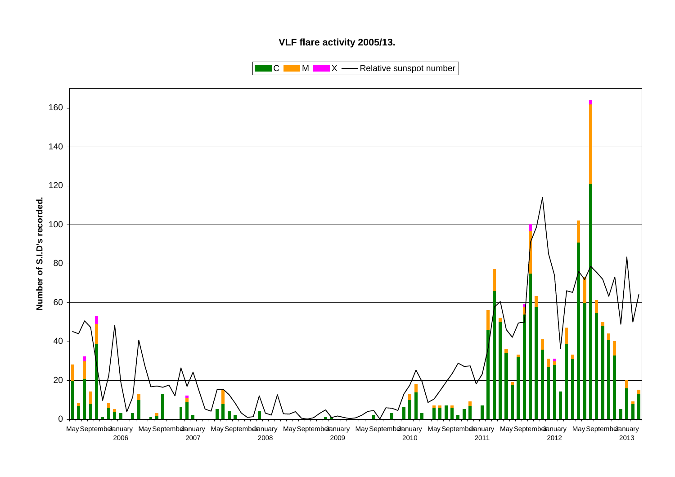## **VLF flare activity 2005/13.**

 $\blacksquare$  C  $\blacksquare$  M  $\blacksquare$   $\blacksquare$  X  $\blacksquare$  Relative sunspot number

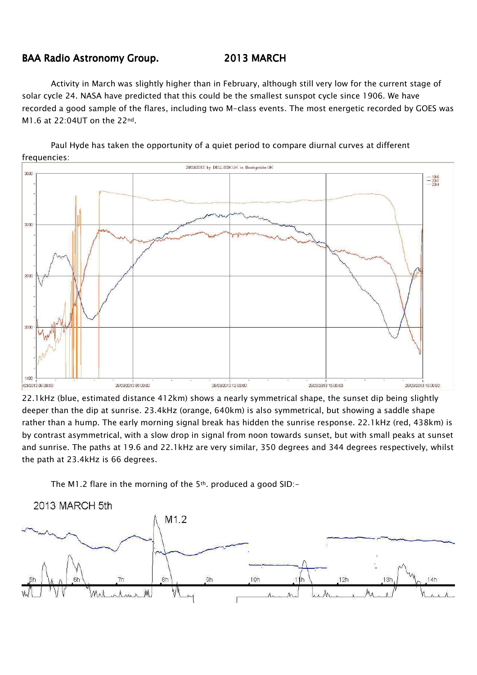## BAA Radio Astronomy Group. 2013 MARCH

M1.6 at 22:04UT on the 22nd.

Activity in March was slightly higher than in February, although still very low for the current stage of solar cycle 24. NASA have predicted that this could be the smallest sunspot cycle since 1906. We have recorded a good sample of the flares, including two M-class events. The most energetic recorded by GOES was

Paul Hyde has taken the opportunity of a quiet period to compare diurnal curves at different frequencies:



22.1kHz (blue, estimated distance 412km) shows a nearly symmetrical shape, the sunset dip being slightly deeper than the dip at sunrise. 23.4kHz (orange, 640km) is also symmetrical, but showing a saddle shape rather than a hump. The early morning signal break has hidden the sunrise response. 22.1kHz (red, 438km) is by contrast asymmetrical, with a slow drop in signal from noon towards sunset, but with small peaks at sunset and sunrise. The paths at 19.6 and 22.1kHz are very similar, 350 degrees and 344 degrees respectively, whilst the path at 23.4kHz is 66 degrees.

The M1.2 flare in the morning of the 5<sup>th</sup>. produced a good SID:-

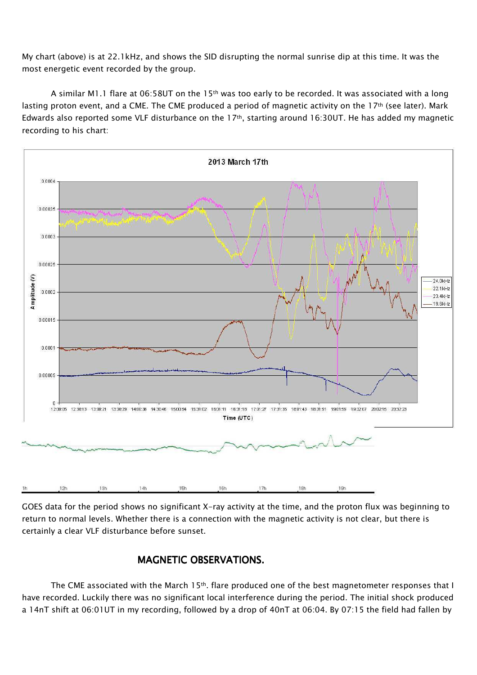My chart (above) is at 22.1kHz, and shows the SID disrupting the normal sunrise dip at this time. It was the most energetic event recorded by the group.

A similar M1.1 flare at 06:58UT on the 15th was too early to be recorded. It was associated with a long lasting proton event, and a CME. The CME produced a period of magnetic activity on the 17<sup>th</sup> (see later). Mark Edwards also reported some VLF disturbance on the 17<sup>th</sup>, starting around 16:30UT. He has added my magnetic recording to his chart:



GOES data for the period shows no significant X-ray activity at the time, and the proton flux was beginning to return to normal levels. Whether there is a connection with the magnetic activity is not clear, but there is certainly a clear VLF disturbance before sunset.

## MAGNETIC OBSERVATIONS.

The CME associated with the March 15<sup>th</sup>. flare produced one of the best magnetometer responses that I have recorded. Luckily there was no significant local interference during the period. The initial shock produced a 14nT shift at 06:01UT in my recording, followed by a drop of 40nT at 06:04. By 07:15 the field had fallen by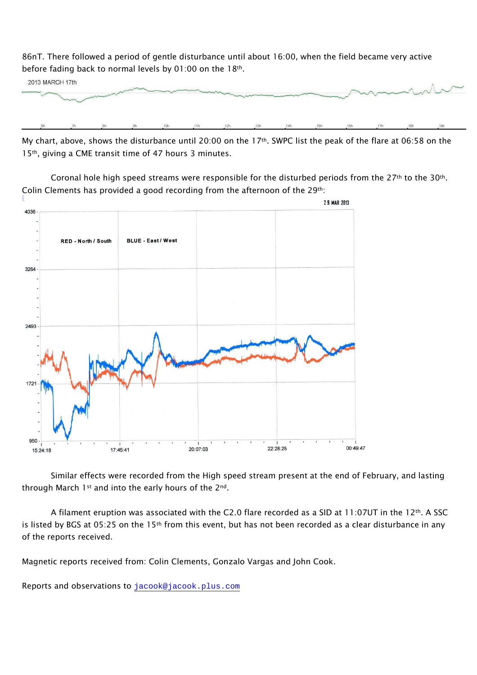86nT. There followed a period of gentle disturbance until about 16:00, when the field became very active before fading back to normal levels by 01:00 on the 18th.



My chart, above, shows the disturbance until 20:00 on the 17th. SWPC list the peak of the flare at 06:58 on the 15th, giving a CME transit time of 47 hours 3 minutes.

Coronal hole high speed streams were responsible for the disturbed periods from the  $27<sup>th</sup>$  to the  $30<sup>th</sup>$ . Colin Clements has provided a good recording from the afternoon of the 29<sup>th</sup>:



Similar effects were recorded from the High speed stream present at the end of February, and lasting through March 1st and into the early hours of the 2<sup>nd</sup>.

A filament eruption was associated with the C2.0 flare recorded as a SID at 11:07UT in the 12th. A SSC is listed by BGS at 05:25 on the 15<sup>th</sup> from this event, but has not been recorded as a clear disturbance in any of the reports received.

Magnetic reports received from: Colin Clements, Gonzalo Vargas and John Cook.

Reports and observations to jacook@jacook.plus.com